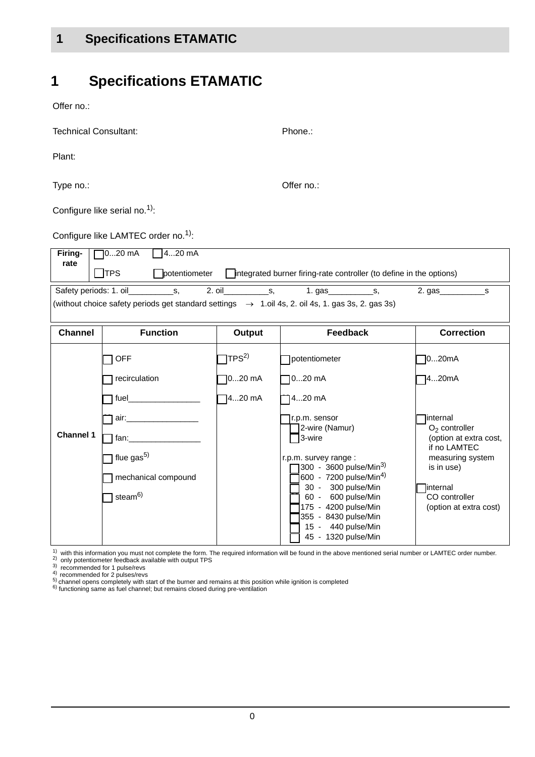Offer no.:

| <b>Technical Consultant:</b>                                                                                                                                                 |                                                 |                               | Phone.:                                                                                                                                                              |                                                                                                                     |  |  |
|------------------------------------------------------------------------------------------------------------------------------------------------------------------------------|-------------------------------------------------|-------------------------------|----------------------------------------------------------------------------------------------------------------------------------------------------------------------|---------------------------------------------------------------------------------------------------------------------|--|--|
| Plant:                                                                                                                                                                       |                                                 |                               |                                                                                                                                                                      |                                                                                                                     |  |  |
| Type no.:                                                                                                                                                                    |                                                 |                               | Offer no.:                                                                                                                                                           |                                                                                                                     |  |  |
|                                                                                                                                                                              | Configure like serial no. <sup>1)</sup> :       |                               |                                                                                                                                                                      |                                                                                                                     |  |  |
|                                                                                                                                                                              | Configure like LAMTEC order no. <sup>1)</sup> : |                               |                                                                                                                                                                      |                                                                                                                     |  |  |
| 020 mA<br>420 mA<br>Firing-<br>rate<br>$\exists$ TPS<br>potentiometer<br>Tintegrated burner firing-rate controller (to define in the options)                                |                                                 |                               |                                                                                                                                                                      |                                                                                                                     |  |  |
| Safety periods: 1. oil<br>2. oil<br>2. gas<br>S,<br>S,<br>s<br>(without choice safety periods get standard settings $\rightarrow$ 1.oil 4s, 2. oil 4s, 1. gas 3s, 2. gas 3s) |                                                 |                               |                                                                                                                                                                      |                                                                                                                     |  |  |
| <b>Channel</b>                                                                                                                                                               | <b>Function</b>                                 | <b>Output</b>                 | <b>Feedback</b>                                                                                                                                                      | <b>Correction</b>                                                                                                   |  |  |
|                                                                                                                                                                              | <b>OFF</b><br>recirculation                     | TPS <sup>2)</sup><br>$020$ mA | potentiometer<br>$020$ mA                                                                                                                                            | 1020mA<br>1420mA                                                                                                    |  |  |
|                                                                                                                                                                              |                                                 | 420 mA                        | 420 mA                                                                                                                                                               |                                                                                                                     |  |  |
| <b>Channel 1</b>                                                                                                                                                             | flue gas <sup>5)</sup><br>mechanical compound   |                               | r.p.m. sensor<br>2-wire (Namur)<br>3-wire<br>r.p.m. survey range :<br>300 - 3600 pulse/Min <sup>3)</sup><br>600 - 7200 pulse/Min <sup>4)</sup><br>30 - 300 pulse/Min | internal<br>$O2$ controller<br>(option at extra cost,<br>if no LAMTEC<br>measuring system<br>is in use)<br>internal |  |  |
|                                                                                                                                                                              | steam <sup>6)</sup>                             |                               | 60 - 600 pulse/Min<br>175 - 4200 pulse/Min<br>355 - 8430 pulse/Min<br>15 - 440 pulse/Min<br>45 - 1320 pulse/Min                                                      | CO controller<br>(option at extra cost)                                                                             |  |  |

 $1)$  with this information you must not complete the form. The required information will be found in the above mentioned serial number or LAMTEC order number.

<sup>2)</sup> only potentiometer feedback available with output TPS<br><sup>3)</sup> recommended for 1 pulse/revs

 $\frac{5}{5}$  channel opens completely with start of the burner and remains at this position while ignition is completed 6) functioning same as fuel channel; but remains closed during pre-ventilation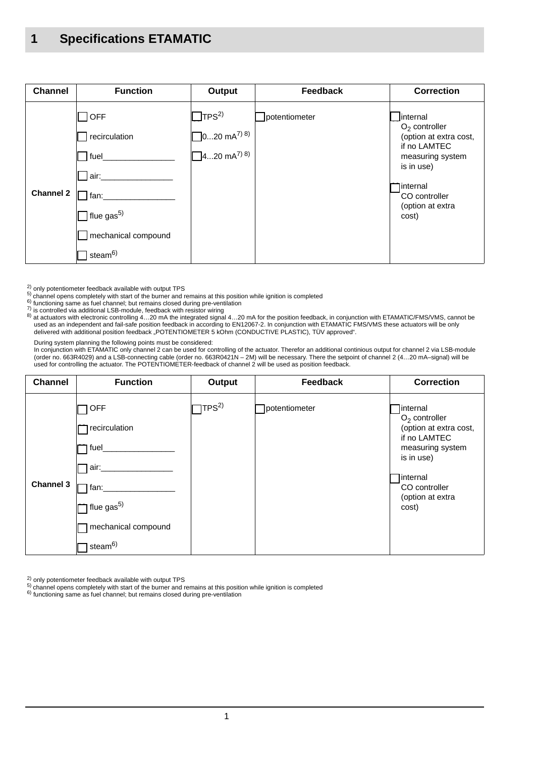| <b>Channel</b>   | <b>Function</b>                                                                                                                                  | Output                                                                               | <b>Feedback</b> | <b>Correction</b>                                                                                                                                                           |
|------------------|--------------------------------------------------------------------------------------------------------------------------------------------------|--------------------------------------------------------------------------------------|-----------------|-----------------------------------------------------------------------------------------------------------------------------------------------------------------------------|
| <b>Channel 2</b> | <b>OFF</b><br>recirculation<br>fuel<br>$\Box$ air: $\_$<br>  fan:<br>$\Box$ flue gas <sup>5)</sup><br>mechanical compound<br>steam <sup>6)</sup> | TPS <sup>2</sup><br>$\Box$ 020 mA <sup>7) 8)</sup><br>$\Box$ 420 mA <sup>7) 8)</sup> | potentiometer   | linternal<br>$O2$ controller<br>(option at extra cost,<br>if no LAMTEC<br>measuring system<br>is in use)<br><b>l</b> internal<br>CO controller<br>(option at extra<br>cost) |

<sup>2)</sup> only potentiometer feedback available with output TPS<br><sup>5)</sup> channel opens completely with start of the burner and remains at this position while ignition is completed<br><sup>6)</sup> functioning same as fuel channel; but remains

 $\frac{7}{2}$  is controlled via additional LSB-module, feedback with resistor wiring

8) at actuators with electronic controlling 4...20 mA the integrated signal 4...20 mA for the position feedback, in conjunction with ETAMATIC/FMS/VMS, cannot be<br>used as an independent and fail-safe position feedback in acc delivered with additional position feedback "POTENTIOMETER 5 kOhm (CONDUCTIVE PLASTIC), TÜV approved".

During system planning the following points must be considered:

In conjunction with ETAMATIC only channel 2 can be used for controlling of the actuator. Therefor an additional continious output for channel 2 via LSB-module<br>(order no. 663R4029) and a LSB-connecting cable (order no. 663R used for controlling the actuator. The POTENTIOMETER-feedback of channel 2 will be used as position feedback.

| <b>Channel</b>   | <b>Function</b>                                                                                                                            | Output           | Feedback      | <b>Correction</b>                                                                                                                                                          |
|------------------|--------------------------------------------------------------------------------------------------------------------------------------------|------------------|---------------|----------------------------------------------------------------------------------------------------------------------------------------------------------------------------|
| <b>Channel 3</b> | <b>OFF</b><br>recirculation<br>fuel_<br>air:_<br>fan:<br>$\mathbb{k}$ flue gas <sup>5)</sup><br>mechanical compound<br>steam <sup>6)</sup> | TPS <sup>2</sup> | potentiometer | linternal<br>$O2$ controller<br>(option at extra cost,<br>if no LAMTEC<br>measuring system<br>is in use)<br><b>linternal</b><br>CO controller<br>(option at extra<br>cost) |

2) only potentiometer feedback available with output TPS

5) channel opens completely with start of the burner and remains at this position while ignition is completed  $\frac{6}{10}$  functioning same as fuel channel; but remains closed during pre-ventilation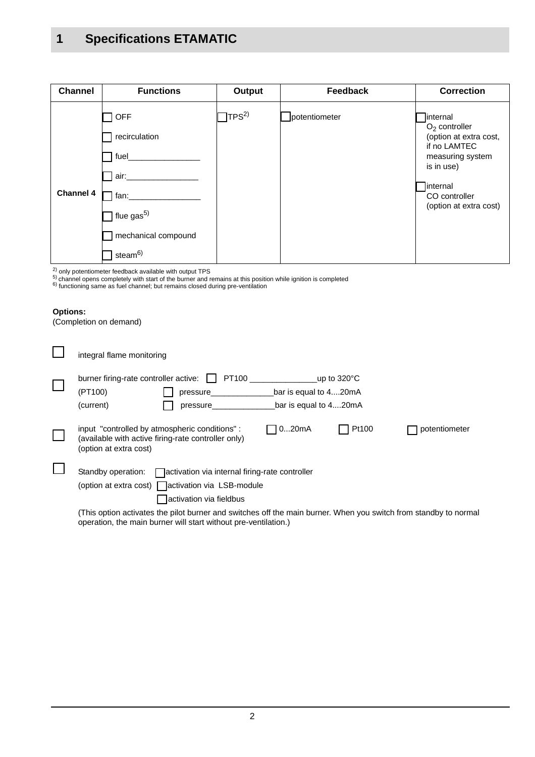| <b>Channel</b>   | <b>Functions</b>                                                                                                  | Output           | <b>Feedback</b> | <b>Correction</b>                                                                                                                                               |
|------------------|-------------------------------------------------------------------------------------------------------------------|------------------|-----------------|-----------------------------------------------------------------------------------------------------------------------------------------------------------------|
| <b>Channel 4</b> | <b>OFF</b><br>recirculation<br>fuel_<br>air.<br>fan:<br>flue $gas5$<br>mechanical compound<br>steam <sup>6)</sup> | TPS <sup>2</sup> | potentiometer   | linternal<br>$O2$ controller<br>(option at extra cost,<br>if no LAMTEC<br>measuring system<br>is in use)<br>internal<br>CO controller<br>(option at extra cost) |

<sup>2)</sup> only potentiometer feedback available with output TPS

<sup>5)</sup> channel opens completely with start of the burner and remains at this position while ignition is completed<br><sup>6)</sup> functioning same as fuel channel; but remains closed during pre-ventilation

operation, the main burner will start without pre-ventilation.)

#### **Options:**

(Completion on demand)

| integral flame monitoring                                                                                                                          |                                                |                       |               |
|----------------------------------------------------------------------------------------------------------------------------------------------------|------------------------------------------------|-----------------------|---------------|
| burner firing-rate controller active:<br>PT100<br>(PT100)<br>pressure<br>(current)<br><b>pressure</b>                                              | bar is equal to 420mA<br>bar is equal to 420mA | up to $320^{\circ}$ C |               |
| input "controlled by atmospheric conditions":<br>(available with active firing-rate controller only)<br>(option at extra cost)                     | 020mA                                          | Pt100                 | potentiometer |
| Standby operation:   activation via internal firing-rate controller<br>(option at extra cost) activation via LSB-module<br>activation via fieldbus |                                                |                       |               |
| (This option activates the pilot burner and switches off the main burner. When you switch from standby to normal                                   |                                                |                       |               |